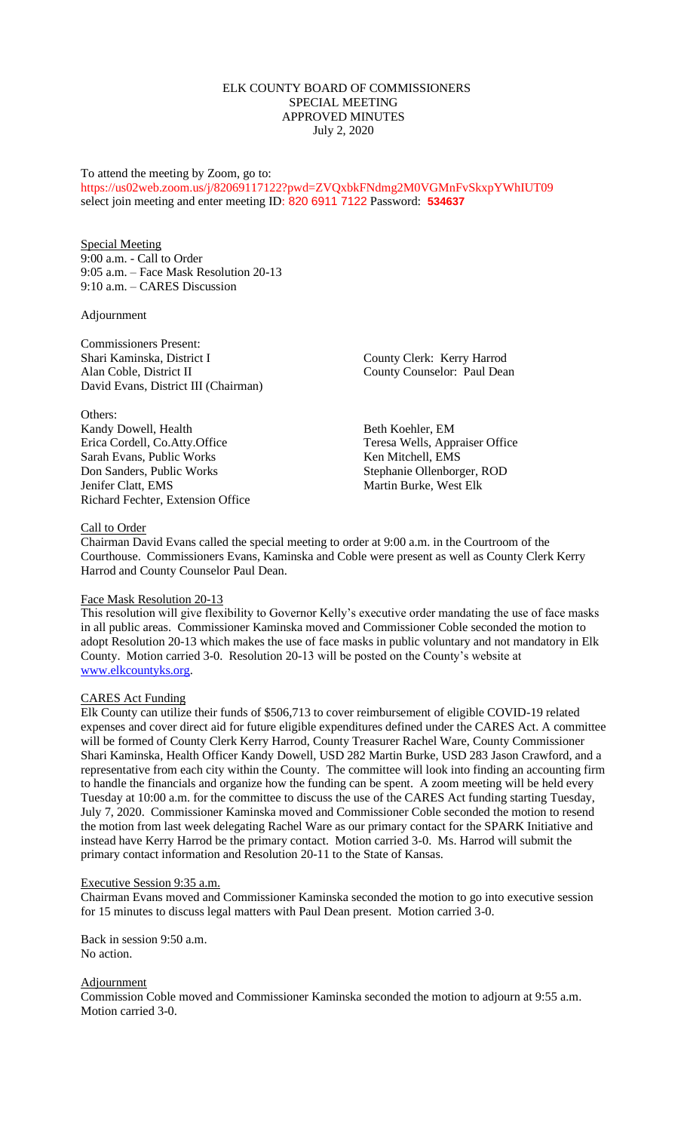## ELK COUNTY BOARD OF COMMISSIONERS SPECIAL MEETING APPROVED MINUTES July 2, 2020

# To attend the meeting by Zoom, go to: https://us02web.zoom.us/j/82069117122?pwd=ZVQxbkFNdmg2M0VGMnFvSkxpYWhIUT09 select join meeting and enter meeting ID: 820 6911 7122 Password: **534637**

Special Meeting 9:00 a.m. - Call to Order 9:05 a.m. – Face Mask Resolution 20-13 9:10 a.m. – CARES Discussion

#### Adjournment

Commissioners Present: Shari Kaminska, District I County Clerk: Kerry Harrod Alan Coble, District II County Counselor: Paul Dean David Evans, District III (Chairman)

Others: Kandy Dowell, Health Beth Koehler, EM<br>
Erica Cordell, Co.Atty.Office Teresa Wells, Appr Sarah Evans, Public Works Ken Mitchell, EMS Don Sanders, Public Works Stephanie Ollenborger, ROD Jenifer Clatt, EMS Martin Burke, West Elk Richard Fechter, Extension Office

Teresa Wells, Appraiser Office

#### Call to Order

Chairman David Evans called the special meeting to order at 9:00 a.m. in the Courtroom of the Courthouse. Commissioners Evans, Kaminska and Coble were present as well as County Clerk Kerry Harrod and County Counselor Paul Dean.

#### Face Mask Resolution 20-13

This resolution will give flexibility to Governor Kelly's executive order mandating the use of face masks in all public areas. Commissioner Kaminska moved and Commissioner Coble seconded the motion to adopt Resolution 20-13 which makes the use of face masks in public voluntary and not mandatory in Elk County. Motion carried 3-0. Resolution 20-13 will be posted on the County's website at [www.elkcountyks.org.](http://www.elkcountyks.org/)

#### CARES Act Funding

Elk County can utilize their funds of \$506,713 to cover reimbursement of eligible COVID-19 related expenses and cover direct aid for future eligible expenditures defined under the CARES Act. A committee will be formed of County Clerk Kerry Harrod, County Treasurer Rachel Ware, County Commissioner Shari Kaminska, Health Officer Kandy Dowell, USD 282 Martin Burke, USD 283 Jason Crawford, and a representative from each city within the County. The committee will look into finding an accounting firm to handle the financials and organize how the funding can be spent. A zoom meeting will be held every Tuesday at 10:00 a.m. for the committee to discuss the use of the CARES Act funding starting Tuesday, July 7, 2020. Commissioner Kaminska moved and Commissioner Coble seconded the motion to resend the motion from last week delegating Rachel Ware as our primary contact for the SPARK Initiative and instead have Kerry Harrod be the primary contact. Motion carried 3-0. Ms. Harrod will submit the primary contact information and Resolution 20-11 to the State of Kansas.

#### Executive Session 9:35 a.m.

Chairman Evans moved and Commissioner Kaminska seconded the motion to go into executive session for 15 minutes to discuss legal matters with Paul Dean present. Motion carried 3-0.

Back in session 9:50 a.m. No action.

## **Adjournment**

Commission Coble moved and Commissioner Kaminska seconded the motion to adjourn at 9:55 a.m. Motion carried 3-0.